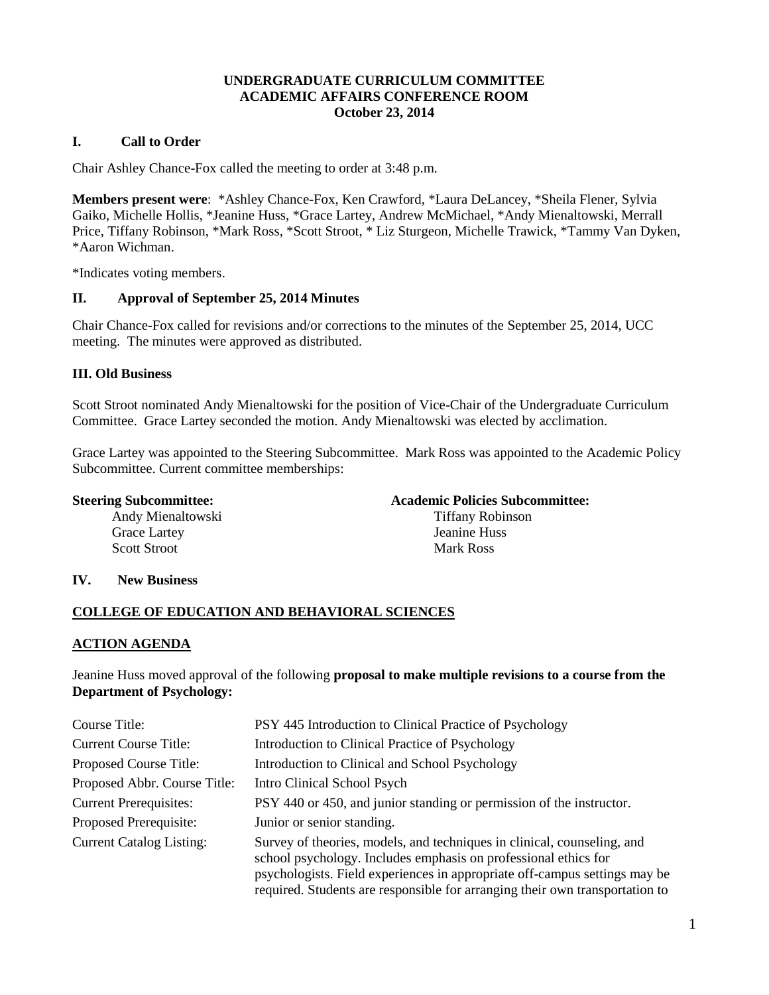## **UNDERGRADUATE CURRICULUM COMMITTEE ACADEMIC AFFAIRS CONFERENCE ROOM October 23, 2014**

# **I. Call to Order**

Chair Ashley Chance-Fox called the meeting to order at 3:48 p.m.

**Members present were**: \*Ashley Chance-Fox, Ken Crawford, \*Laura DeLancey, \*Sheila Flener, Sylvia Gaiko, Michelle Hollis, \*Jeanine Huss, \*Grace Lartey, Andrew McMichael, \*Andy Mienaltowski, Merrall Price, Tiffany Robinson, \*Mark Ross, \*Scott Stroot, \* Liz Sturgeon, Michelle Trawick, \*Tammy Van Dyken, \*Aaron Wichman.

\*Indicates voting members.

## **II. Approval of September 25, 2014 Minutes**

Chair Chance-Fox called for revisions and/or corrections to the minutes of the September 25, 2014, UCC meeting. The minutes were approved as distributed.

## **III. Old Business**

Scott Stroot nominated Andy Mienaltowski for the position of Vice-Chair of the Undergraduate Curriculum Committee. Grace Lartey seconded the motion. Andy Mienaltowski was elected by acclimation.

Grace Lartey was appointed to the Steering Subcommittee. Mark Ross was appointed to the Academic Policy Subcommittee. Current committee memberships:

Andy Mienaltowski Tiffany Robinson Grace Lartey Jeanine Huss Scott Stroot Mark Ross

#### **Steering Subcommittee: Academic Policies Subcommittee:**

## **IV. New Business**

# **COLLEGE OF EDUCATION AND BEHAVIORAL SCIENCES**

## **ACTION AGENDA**

Jeanine Huss moved approval of the following **proposal to make multiple revisions to a course from the Department of Psychology:**

| Course Title:                   | PSY 445 Introduction to Clinical Practice of Psychology                                                                                                                                                                                                                                                  |
|---------------------------------|----------------------------------------------------------------------------------------------------------------------------------------------------------------------------------------------------------------------------------------------------------------------------------------------------------|
| <b>Current Course Title:</b>    | Introduction to Clinical Practice of Psychology                                                                                                                                                                                                                                                          |
| Proposed Course Title:          | Introduction to Clinical and School Psychology                                                                                                                                                                                                                                                           |
| Proposed Abbr. Course Title:    | Intro Clinical School Psych                                                                                                                                                                                                                                                                              |
| <b>Current Prerequisites:</b>   | PSY 440 or 450, and junior standing or permission of the instructor.                                                                                                                                                                                                                                     |
| Proposed Prerequisite:          | Junior or senior standing.                                                                                                                                                                                                                                                                               |
| <b>Current Catalog Listing:</b> | Survey of theories, models, and techniques in clinical, counseling, and<br>school psychology. Includes emphasis on professional ethics for<br>psychologists. Field experiences in appropriate off-campus settings may be<br>required. Students are responsible for arranging their own transportation to |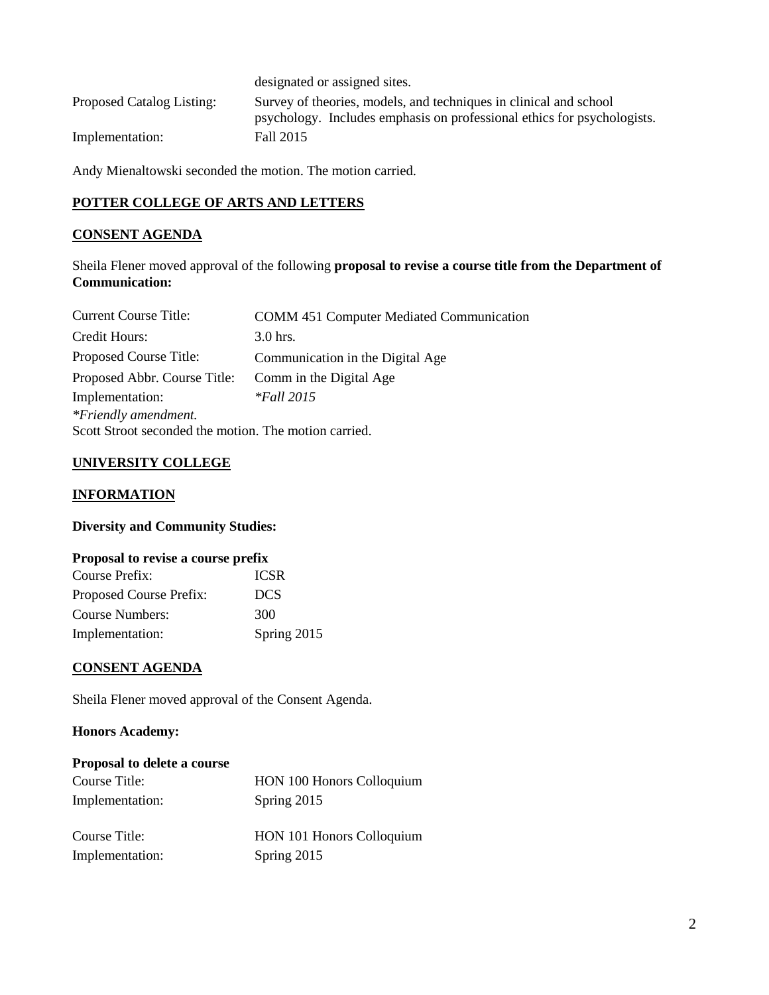|                           | designated or assigned sites.                                                                                                                |
|---------------------------|----------------------------------------------------------------------------------------------------------------------------------------------|
| Proposed Catalog Listing: | Survey of theories, models, and techniques in clinical and school<br>psychology. Includes emphasis on professional ethics for psychologists. |
| Implementation:           | Fall 2015                                                                                                                                    |

Andy Mienaltowski seconded the motion. The motion carried.

# **POTTER COLLEGE OF ARTS AND LETTERS**

# **CONSENT AGENDA**

Sheila Flener moved approval of the following **proposal to revise a course title from the Department of Communication:**

| <b>Current Course Title:</b>                          | <b>COMM 451 Computer Mediated Communication</b> |
|-------------------------------------------------------|-------------------------------------------------|
| Credit Hours:                                         | $3.0$ hrs.                                      |
| Proposed Course Title:                                | Communication in the Digital Age                |
| Proposed Abbr. Course Title:                          | Comm in the Digital Age                         |
| Implementation:                                       | $*$ Fall 2015                                   |
| *Friendly amendment.                                  |                                                 |
| Scott Stroot seconded the motion. The motion carried. |                                                 |

# **UNIVERSITY COLLEGE**

## **INFORMATION**

# **Diversity and Community Studies:**

## **Proposal to revise a course prefix**

| Course Prefix:          | <b>ICSR</b> |
|-------------------------|-------------|
| Proposed Course Prefix: | DCS.        |
| Course Numbers:         | 300         |
| Implementation:         | Spring 2015 |

## **CONSENT AGENDA**

Sheila Flener moved approval of the Consent Agenda.

## **Honors Academy:**

| Proposal to delete a course |                           |
|-----------------------------|---------------------------|
| Course Title:               | HON 100 Honors Colloquium |
| Implementation:             | Spring 2015               |
| Course Title:               | HON 101 Honors Colloquium |
| Implementation:             | Spring 2015               |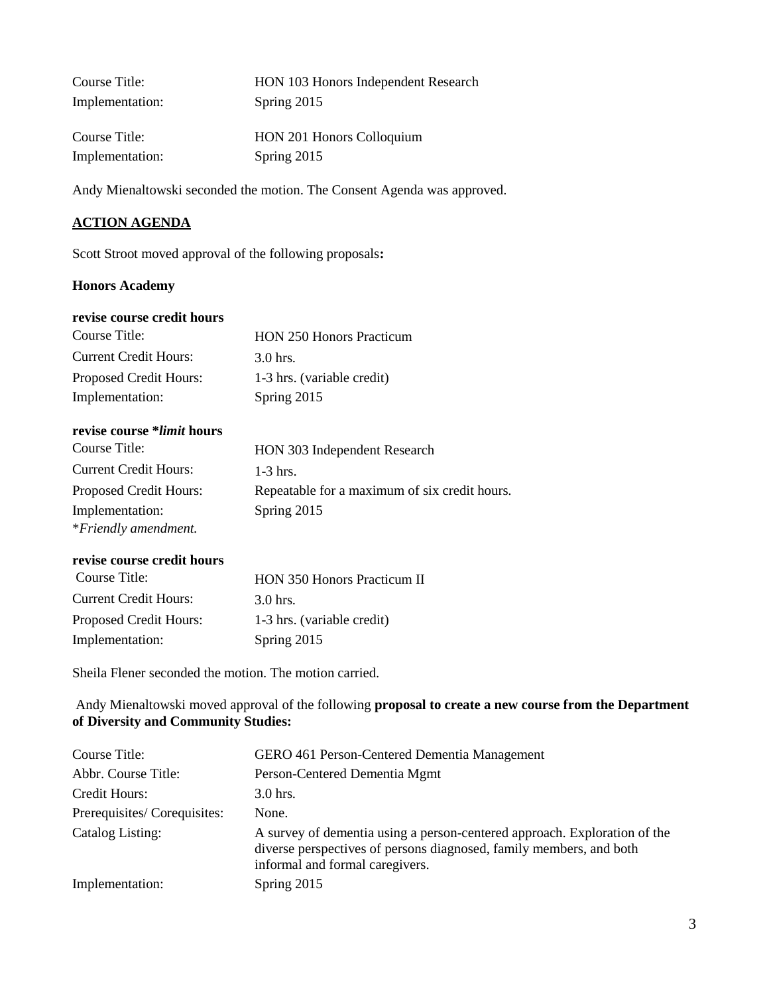| Course Title:   | HON 103 Honors Independent Research |
|-----------------|-------------------------------------|
| Implementation: | Spring 2015                         |
|                 |                                     |
| Course Title:   | HON 201 Honors Colloquium           |
| Implementation: | Spring 2015                         |

Andy Mienaltowski seconded the motion. The Consent Agenda was approved.

# **ACTION AGENDA**

Scott Stroot moved approval of the following proposals**:**

## **Honors Academy**

## **revise course credit hours**

| Course Title:                | <b>HON 250 Honors Practicum</b> |
|------------------------------|---------------------------------|
| <b>Current Credit Hours:</b> | $3.0$ hrs.                      |
| Proposed Credit Hours:       | 1-3 hrs. (variable credit)      |
| Implementation:              | Spring 2015                     |

# **revise course \****limit* **hours**

| Course Title:                | HON 303 Independent Research                  |
|------------------------------|-----------------------------------------------|
| <b>Current Credit Hours:</b> | $1-3$ hrs.                                    |
| Proposed Credit Hours:       | Repeatable for a maximum of six credit hours. |
| Implementation:              | Spring 2015                                   |
| *Friendly amendment.         |                                               |

## **revise course credit hours**

| Course Title:                 | HON 350 Honors Practicum II |
|-------------------------------|-----------------------------|
| <b>Current Credit Hours:</b>  | $3.0$ hrs.                  |
| <b>Proposed Credit Hours:</b> | 1-3 hrs. (variable credit)  |
| Implementation:               | Spring 2015                 |

Sheila Flener seconded the motion. The motion carried.

Andy Mienaltowski moved approval of the following **proposal to create a new course from the Department of Diversity and Community Studies:** 

| Course Title:               | <b>GERO</b> 461 Person-Centered Dementia Management                                                                                                                                 |
|-----------------------------|-------------------------------------------------------------------------------------------------------------------------------------------------------------------------------------|
| Abbr. Course Title:         | Person-Centered Dementia Mgmt                                                                                                                                                       |
| Credit Hours:               | $3.0$ hrs.                                                                                                                                                                          |
| Prerequisites/Corequisites: | None.                                                                                                                                                                               |
| Catalog Listing:            | A survey of dementia using a person-centered approach. Exploration of the<br>diverse perspectives of persons diagnosed, family members, and both<br>informal and formal caregivers. |
| Implementation:             | Spring 2015                                                                                                                                                                         |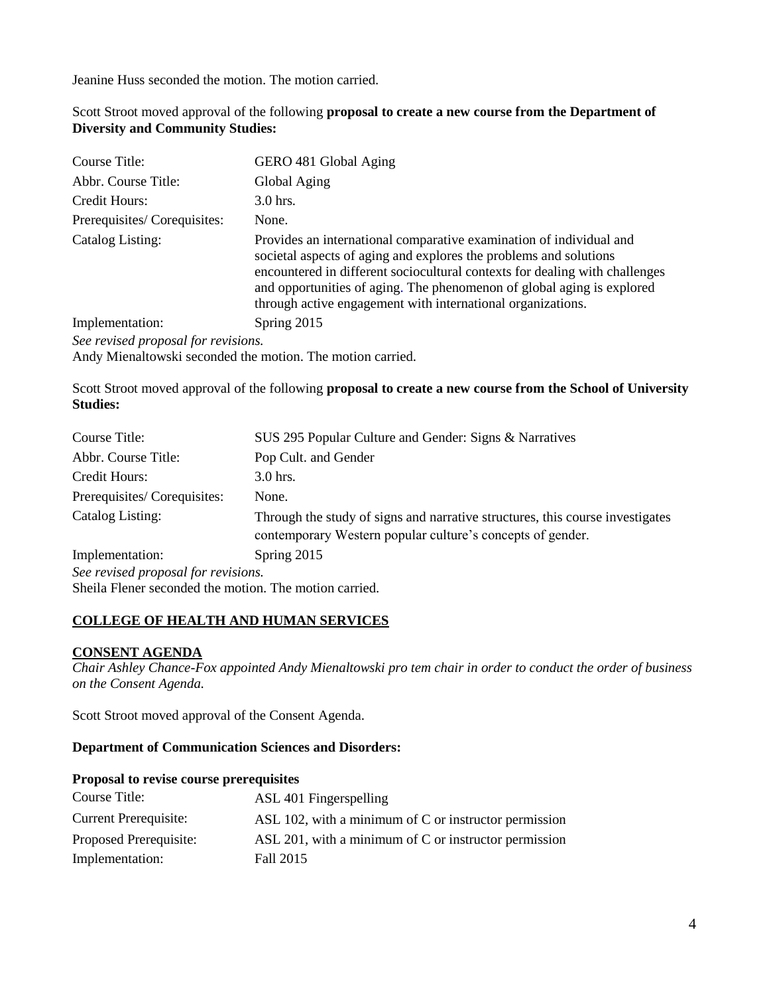Jeanine Huss seconded the motion. The motion carried.

## Scott Stroot moved approval of the following **proposal to create a new course from the Department of Diversity and Community Studies:**

| Course Title:                       | GERO 481 Global Aging                                                                                                                                                                                                                                                                                                                                            |
|-------------------------------------|------------------------------------------------------------------------------------------------------------------------------------------------------------------------------------------------------------------------------------------------------------------------------------------------------------------------------------------------------------------|
| Abbr. Course Title:                 | Global Aging                                                                                                                                                                                                                                                                                                                                                     |
| Credit Hours:                       | $3.0$ hrs.                                                                                                                                                                                                                                                                                                                                                       |
| Prerequisites/Corequisites:         | None.                                                                                                                                                                                                                                                                                                                                                            |
| Catalog Listing:                    | Provides an international comparative examination of individual and<br>societal aspects of aging and explores the problems and solutions<br>encountered in different sociocultural contexts for dealing with challenges<br>and opportunities of aging. The phenomenon of global aging is explored<br>through active engagement with international organizations. |
| Implementation:                     | Spring 2015                                                                                                                                                                                                                                                                                                                                                      |
| See revised proposal for revisions. |                                                                                                                                                                                                                                                                                                                                                                  |
|                                     | Andy Mienaltowski seconded the motion. The motion carried.                                                                                                                                                                                                                                                                                                       |

Scott Stroot moved approval of the following **proposal to create a new course from the School of University Studies:**

| Course Title:                       | SUS 295 Popular Culture and Gender: Signs & Narratives                                                                                      |
|-------------------------------------|---------------------------------------------------------------------------------------------------------------------------------------------|
| Abbr. Course Title:                 | Pop Cult. and Gender                                                                                                                        |
| Credit Hours:                       | $3.0$ hrs.                                                                                                                                  |
| Prerequisites/Corequisites:         | None.                                                                                                                                       |
| Catalog Listing:                    | Through the study of signs and narrative structures, this course investigates<br>contemporary Western popular culture's concepts of gender. |
| Implementation:                     | Spring 2015                                                                                                                                 |
| See revised proposal for revisions. |                                                                                                                                             |

Sheila Flener seconded the motion. The motion carried.

# **COLLEGE OF HEALTH AND HUMAN SERVICES**

# **CONSENT AGENDA**

*Chair Ashley Chance-Fox appointed Andy Mienaltowski pro tem chair in order to conduct the order of business on the Consent Agenda.*

Scott Stroot moved approval of the Consent Agenda.

## **Department of Communication Sciences and Disorders:**

#### **Proposal to revise course prerequisites**

| Course Title:                | ASL 401 Fingerspelling                                |
|------------------------------|-------------------------------------------------------|
| <b>Current Prerequisite:</b> | ASL 102, with a minimum of C or instructor permission |
| Proposed Prerequisite:       | ASL 201, with a minimum of C or instructor permission |
| Implementation:              | Fall 2015                                             |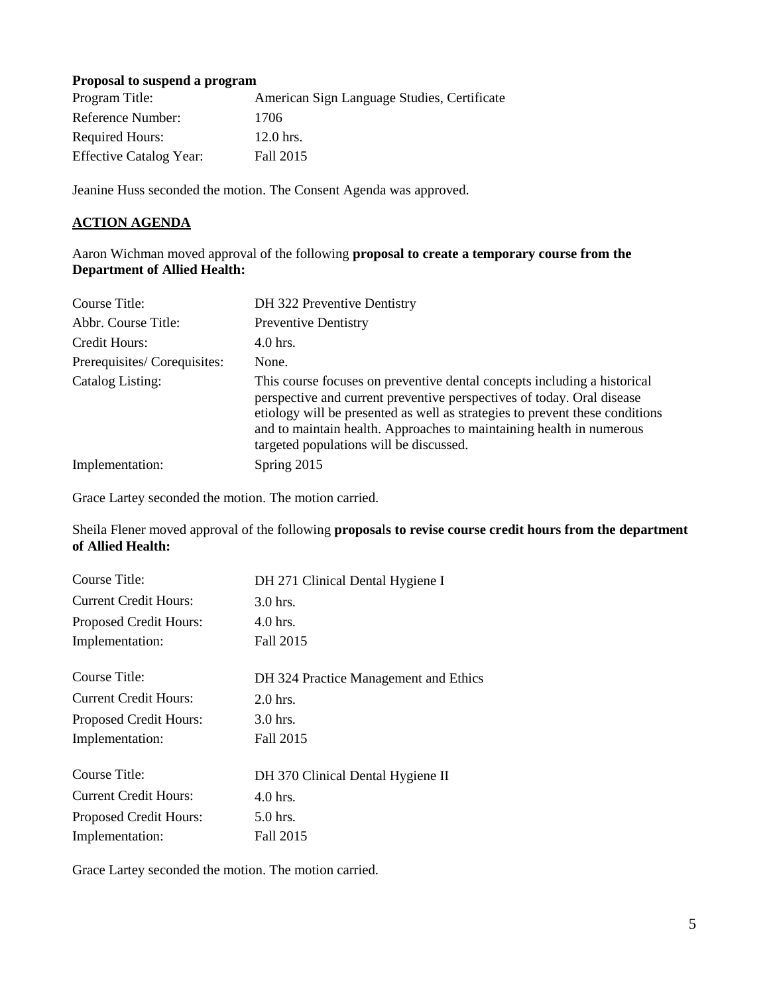## **Proposal to suspend a program**

| Program Title:                 | American Sign Language Studies, Certificate |
|--------------------------------|---------------------------------------------|
| Reference Number:              | 1706                                        |
| <b>Required Hours:</b>         | $12.0$ hrs.                                 |
| <b>Effective Catalog Year:</b> | Fall 2015                                   |

Jeanine Huss seconded the motion. The Consent Agenda was approved.

# **ACTION AGENDA**

Aaron Wichman moved approval of the following **proposal to create a temporary course from the Department of Allied Health:**

| Course Title:               | DH 322 Preventive Dentistry                                                                                                                                                                                                                                                                                                                           |
|-----------------------------|-------------------------------------------------------------------------------------------------------------------------------------------------------------------------------------------------------------------------------------------------------------------------------------------------------------------------------------------------------|
| Abbr. Course Title:         | <b>Preventive Dentistry</b>                                                                                                                                                                                                                                                                                                                           |
| Credit Hours:               | $4.0$ hrs.                                                                                                                                                                                                                                                                                                                                            |
| Prerequisites/Corequisites: | None.                                                                                                                                                                                                                                                                                                                                                 |
| Catalog Listing:            | This course focuses on preventive dental concepts including a historical<br>perspective and current preventive perspectives of today. Oral disease<br>etiology will be presented as well as strategies to prevent these conditions<br>and to maintain health. Approaches to maintaining health in numerous<br>targeted populations will be discussed. |
| Implementation:             | Spring 2015                                                                                                                                                                                                                                                                                                                                           |

Grace Lartey seconded the motion. The motion carried.

Sheila Flener moved approval of the following **proposa**l**s to revise course credit hours from the department of Allied Health:**

| Course Title:                | DH 271 Clinical Dental Hygiene I      |
|------------------------------|---------------------------------------|
| <b>Current Credit Hours:</b> | $3.0$ hrs.                            |
| Proposed Credit Hours:       | $4.0$ hrs.                            |
| Implementation:              | Fall 2015                             |
| Course Title:                | DH 324 Practice Management and Ethics |
| <b>Current Credit Hours:</b> | $2.0$ hrs.                            |
| Proposed Credit Hours:       | $3.0$ hrs.                            |
| Implementation:              | Fall 2015                             |
| Course Title:                | DH 370 Clinical Dental Hygiene II     |
| <b>Current Credit Hours:</b> | $4.0$ hrs.                            |
| Proposed Credit Hours:       | 5.0 hrs.                              |
| Implementation:              | Fall 2015                             |

Grace Lartey seconded the motion. The motion carried.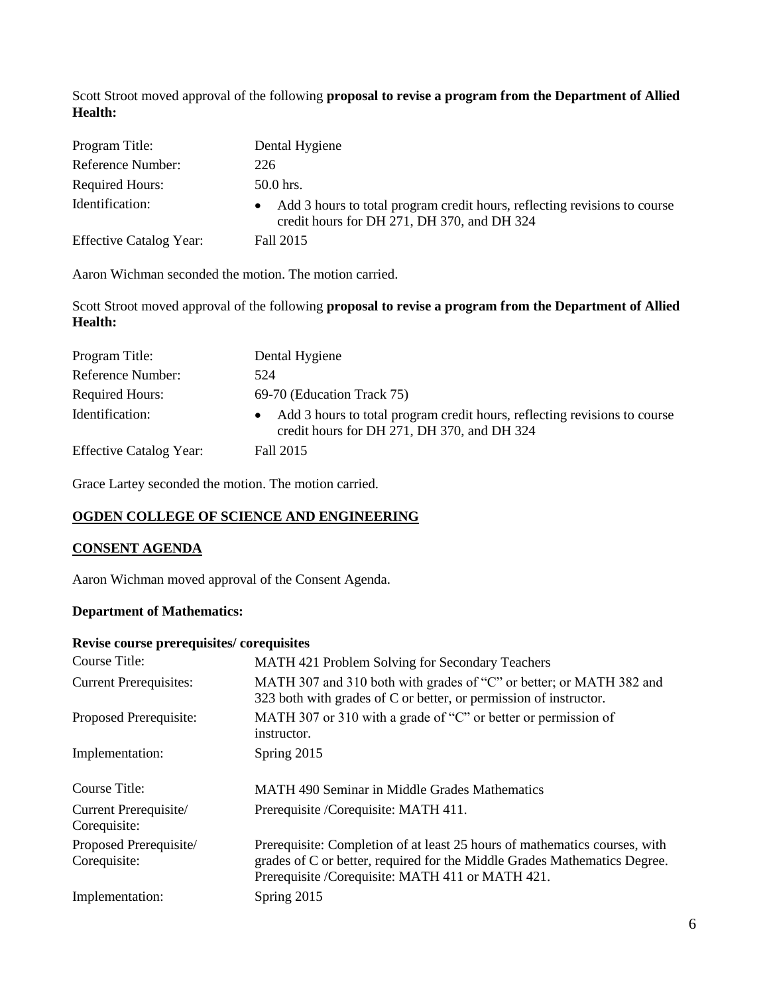Scott Stroot moved approval of the following **proposal to revise a program from the Department of Allied Health:**

| Program Title:                 | Dental Hygiene                                                                                                           |
|--------------------------------|--------------------------------------------------------------------------------------------------------------------------|
| Reference Number:              | 226                                                                                                                      |
| <b>Required Hours:</b>         | $50.0$ hrs.                                                                                                              |
| Identification:                | Add 3 hours to total program credit hours, reflecting revisions to course<br>credit hours for DH 271, DH 370, and DH 324 |
| <b>Effective Catalog Year:</b> | Fall 2015                                                                                                                |

Aaron Wichman seconded the motion. The motion carried.

Scott Stroot moved approval of the following **proposal to revise a program from the Department of Allied Health:**

| Program Title:                 | Dental Hygiene                                                                                                           |
|--------------------------------|--------------------------------------------------------------------------------------------------------------------------|
| Reference Number:              | 524                                                                                                                      |
| <b>Required Hours:</b>         | 69-70 (Education Track 75)                                                                                               |
| Identification:                | Add 3 hours to total program credit hours, reflecting revisions to course<br>credit hours for DH 271, DH 370, and DH 324 |
| <b>Effective Catalog Year:</b> | Fall 2015                                                                                                                |

Grace Lartey seconded the motion. The motion carried.

## **OGDEN COLLEGE OF SCIENCE AND ENGINEERING**

## **CONSENT AGENDA**

Aaron Wichman moved approval of the Consent Agenda.

## **Department of Mathematics:**

#### **Revise course prerequisites/ corequisites**

| Course Title:                          | MATH 421 Problem Solving for Secondary Teachers                                                                                                                                                              |
|----------------------------------------|--------------------------------------------------------------------------------------------------------------------------------------------------------------------------------------------------------------|
| <b>Current Prerequisites:</b>          | MATH 307 and 310 both with grades of "C" or better; or MATH 382 and<br>323 both with grades of C or better, or permission of instructor.                                                                     |
| Proposed Prerequisite:                 | MATH 307 or 310 with a grade of "C" or better or permission of<br>instructor.                                                                                                                                |
| Implementation:                        | Spring 2015                                                                                                                                                                                                  |
| Course Title:                          | <b>MATH 490 Seminar in Middle Grades Mathematics</b>                                                                                                                                                         |
| Current Prerequisite/<br>Corequisite:  | Prerequisite / Corequisite: MATH 411.                                                                                                                                                                        |
| Proposed Prerequisite/<br>Corequisite: | Prerequisite: Completion of at least 25 hours of mathematics courses, with<br>grades of C or better, required for the Middle Grades Mathematics Degree.<br>Prerequisite / Corequisite: MATH 411 or MATH 421. |
| Implementation:                        | Spring 2015                                                                                                                                                                                                  |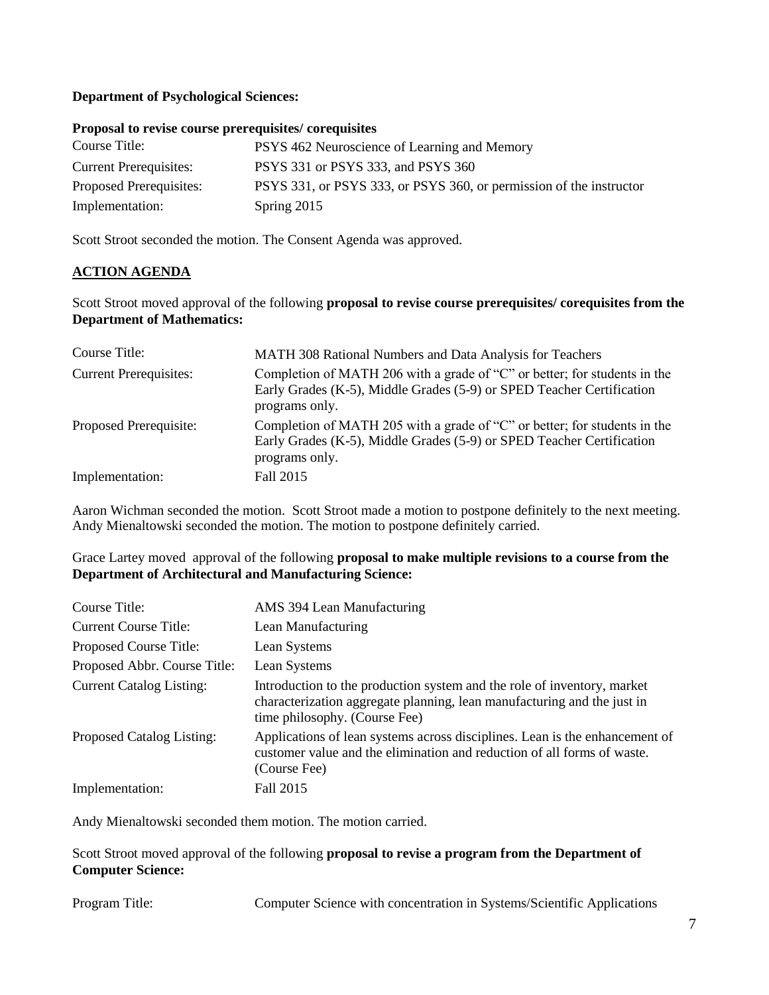# **Department of Psychological Sciences:**

## **Proposal to revise course prerequisites/ corequisites**

| Course Title:                 | PSYS 462 Neuroscience of Learning and Memory                        |
|-------------------------------|---------------------------------------------------------------------|
| <b>Current Prerequisites:</b> | PSYS 331 or PSYS 333, and PSYS 360                                  |
| Proposed Prerequisites:       | PSYS 331, or PSYS 333, or PSYS 360, or permission of the instructor |
| Implementation:               | Spring 2015                                                         |

Scott Stroot seconded the motion. The Consent Agenda was approved.

## **ACTION AGENDA**

Scott Stroot moved approval of the following **proposal to revise course prerequisites/ corequisites from the Department of Mathematics:**

| Course Title:                 | MATH 308 Rational Numbers and Data Analysis for Teachers                                                                                                                 |
|-------------------------------|--------------------------------------------------------------------------------------------------------------------------------------------------------------------------|
| <b>Current Prerequisites:</b> | Completion of MATH 206 with a grade of "C" or better; for students in the<br>Early Grades (K-5), Middle Grades (5-9) or SPED Teacher Certification<br>programs only.     |
| Proposed Prerequisite:        | Completion of MATH 205 with a grade of " $C$ " or better; for students in the<br>Early Grades (K-5), Middle Grades (5-9) or SPED Teacher Certification<br>programs only. |
| Implementation:               | Fall 2015                                                                                                                                                                |

Aaron Wichman seconded the motion. Scott Stroot made a motion to postpone definitely to the next meeting. Andy Mienaltowski seconded the motion. The motion to postpone definitely carried.

Grace Lartey moved approval of the following **proposal to make multiple revisions to a course from the Department of Architectural and Manufacturing Science:**

| Course Title:                   | AMS 394 Lean Manufacturing                                                                                                                                                          |
|---------------------------------|-------------------------------------------------------------------------------------------------------------------------------------------------------------------------------------|
| <b>Current Course Title:</b>    | Lean Manufacturing                                                                                                                                                                  |
| Proposed Course Title:          | Lean Systems                                                                                                                                                                        |
| Proposed Abbr. Course Title:    | Lean Systems                                                                                                                                                                        |
| <b>Current Catalog Listing:</b> | Introduction to the production system and the role of inventory, market<br>characterization aggregate planning, lean manufacturing and the just in<br>time philosophy. (Course Fee) |
| Proposed Catalog Listing:       | Applications of lean systems across disciplines. Lean is the enhancement of<br>customer value and the elimination and reduction of all forms of waste.<br>(Course Fee)              |
| Implementation:                 | Fall 2015                                                                                                                                                                           |

Andy Mienaltowski seconded them motion. The motion carried.

Scott Stroot moved approval of the following **proposal to revise a program from the Department of Computer Science:**

Program Title: Computer Science with concentration in Systems/Scientific Applications